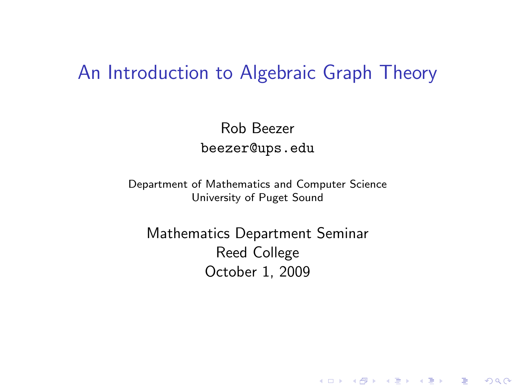### An Introduction to Algebraic Graph Theory

Rob Beezer beezer@ups.edu

Department of Mathematics and Computer Science University of Puget Sound

<span id="page-0-0"></span>Mathematics Department Seminar Reed College October 1, 2009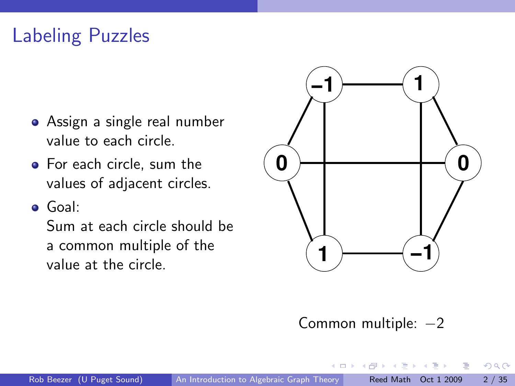## Labeling Puzzles

- Assign a single real number value to each circle.
- For each circle, sum the values of adjacent circles.
- Goal:

Sum at each circle should be a common multiple of the value at the circle.



#### Common multiple:  $-2$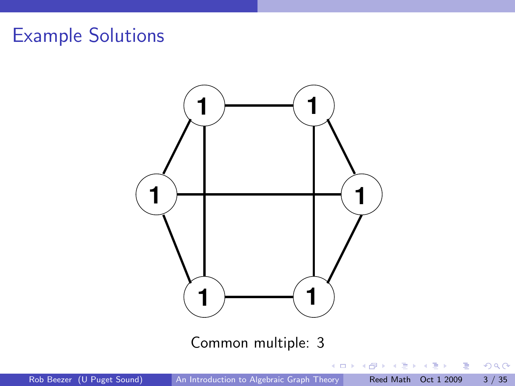

Rob Beezer (U Puget Sound) [An Introduction to Algebraic Graph Theory](#page-0-0) Reed Math Oct 1 2009 3 / 35

D.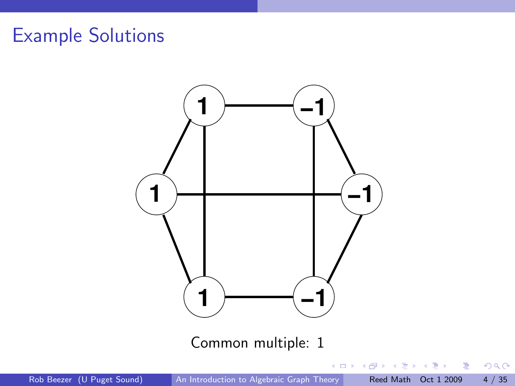

Rob Beezer (U Puget Sound) [An Introduction to Algebraic Graph Theory](#page-0-0) Reed Math Oct 1 2009 4 / 35

D.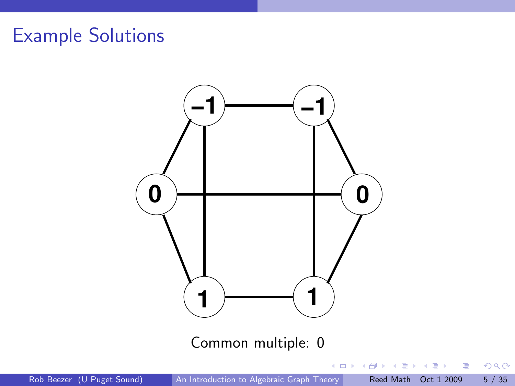

 $299$ 

重

Rob Beezer (U Puget Sound) [An Introduction to Algebraic Graph Theory](#page-0-0) Reed Math Oct 1 2009 5 / 35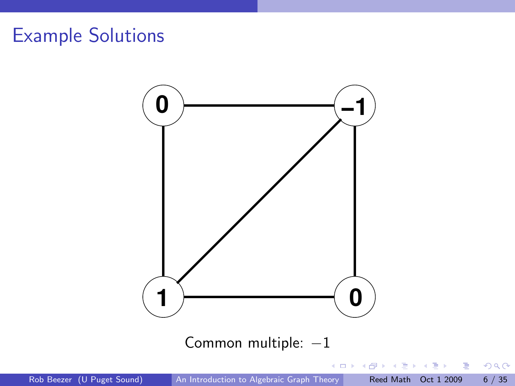

Rob Beezer (U Puget Sound) [An Introduction to Algebraic Graph Theory](#page-0-0) Reed Math Oct 1 2009 6 / 35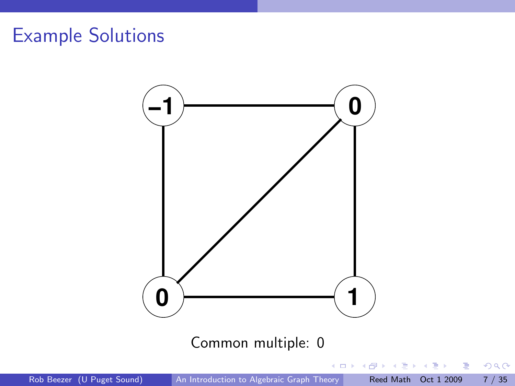

D.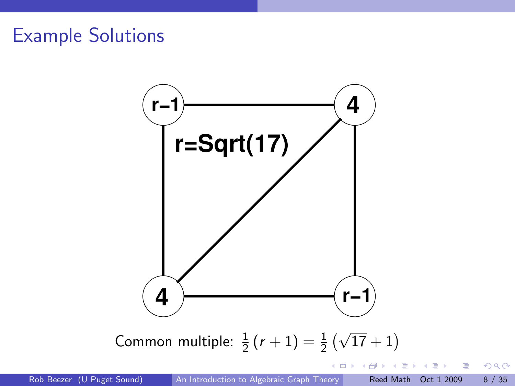

 $299$ 

- 3

イロト イ押ト イヨト イヨト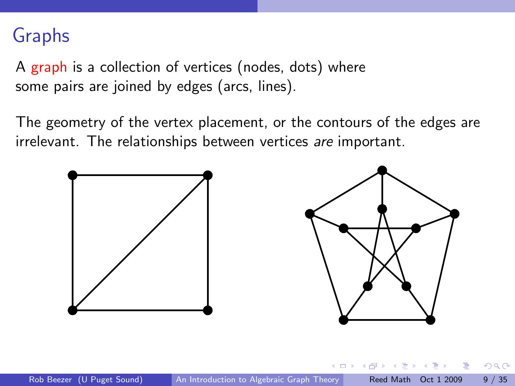### Graphs

A graph is a collection of vertices (nodes, dots) where some pairs are joined by edges (arcs, lines).

The geometry of the vertex placement, or the contours of the edges are irrelevant. The relationships between vertices are important.

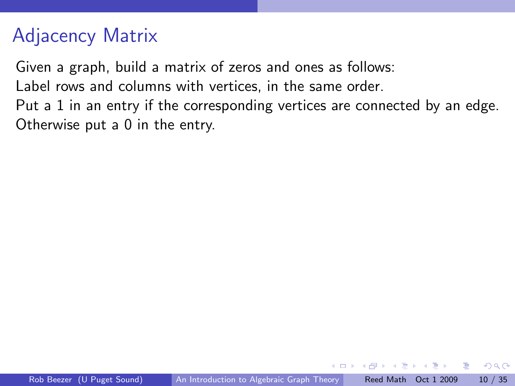## Adjacency Matrix

Given a graph, build a matrix of zeros and ones as follows:

Label rows and columns with vertices, in the same order.

Put a 1 in an entry if the corresponding vertices are connected by an edge. Otherwise put a 0 in the entry.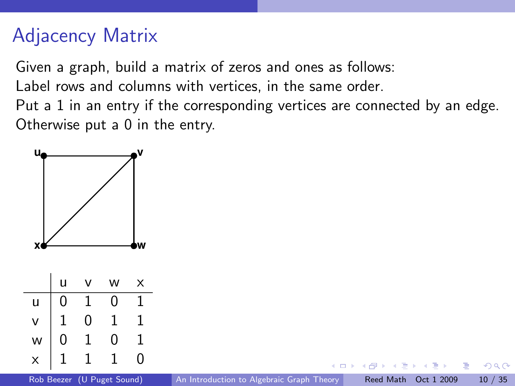## Adjacency Matrix

Given a graph, build a matrix of zeros and ones as follows:

Label rows and columns with vertices, in the same order.

Put a 1 in an entry if the corresponding vertices are connected by an edge. Otherwise put a 0 in the entry.

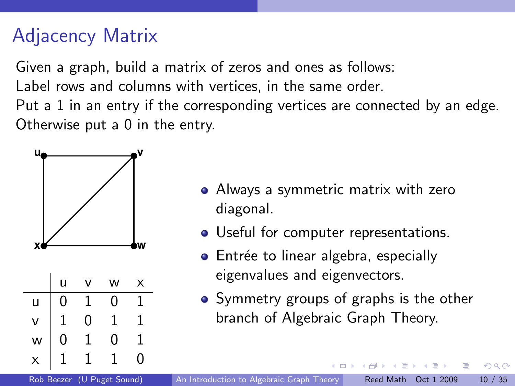## Adjacency Matrix

Given a graph, build a matrix of zeros and ones as follows:

Label rows and columns with vertices, in the same order.

Put a 1 in an entry if the corresponding vertices are connected by an edge. Otherwise put a 0 in the entry.



- Always a symmetric matrix with zero diagonal.
- Useful for computer representations.
- Entrée to linear algebra, especially eigenvalues and eigenvectors.
- Symmetry groups of graphs is the other branch of Algebraic Graph Theory.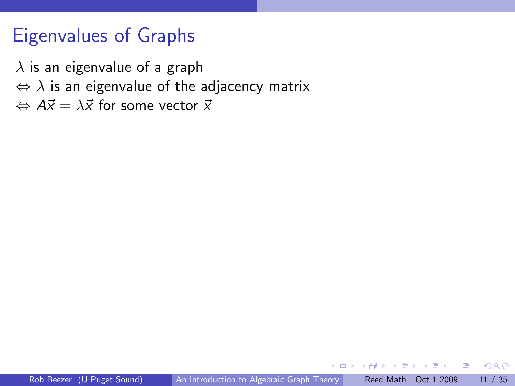### Eigenvalues of Graphs

 $\lambda$  is an eigenvalue of a graph  $\Leftrightarrow$   $\lambda$  is an eigenvalue of the adjacency matrix  $\Leftrightarrow$   $A\vec{x} = \lambda \vec{x}$  for some vector  $\vec{x}$ 

 $-$ 

 $QQ$ 

÷

-4 T= 6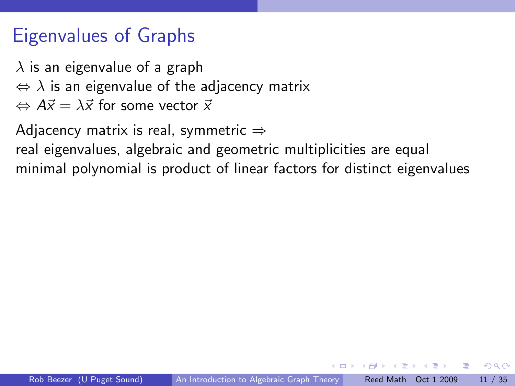## Eigenvalues of Graphs

 $\lambda$  is an eigenvalue of a graph  $\Leftrightarrow$   $\lambda$  is an eigenvalue of the adjacency matrix  $\Leftrightarrow$   $A\vec{x} = \lambda \vec{x}$  for some vector  $\vec{x}$ 

Adjacency matrix is real, symmetric  $\Rightarrow$ 

real eigenvalues, algebraic and geometric multiplicities are equal minimal polynomial is product of linear factors for distinct eigenvalues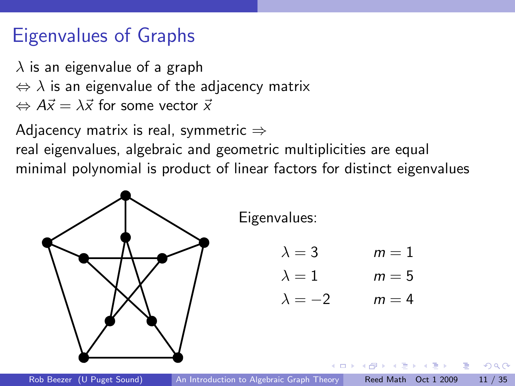## Eigenvalues of Graphs

 $\lambda$  is an eigenvalue of a graph  $\Leftrightarrow$   $\lambda$  is an eigenvalue of the adjacency matrix  $\Leftrightarrow$   $A\vec{x} = \lambda \vec{x}$  for some vector  $\vec{x}$ 

Adjacency matrix is real, symmetric  $\Rightarrow$ real eigenvalues, algebraic and geometric multiplicities are equal minimal polynomial is product of linear factors for distinct eigenvalues

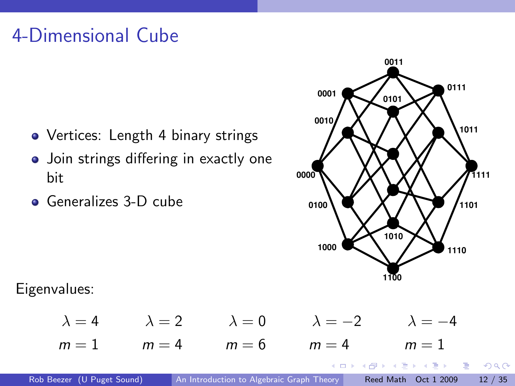## 4-Dimensional Cube

- Vertices: Length 4 binary strings
- Join strings differing in exactly one bit
- **Generalizes 3-D cube**



イロト イ押 トイヨ トイヨト

 $QQ$ 

D.

Eigenvalues:

 $\lambda = 4$   $\lambda = 2$   $\lambda = 0$   $\lambda = -2$   $\lambda = -4$  $m = 1$   $m = 4$   $m = 6$   $m = 4$   $m = 1$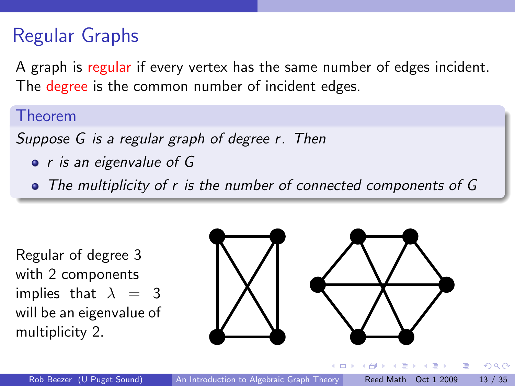## Regular Graphs

A graph is regular if every vertex has the same number of edges incident. The degree is the common number of incident edges.

#### Theorem

Suppose G is a regular graph of degree r. Then

• *r* is an eigenvalue of G

• The multiplicity of r is the number of connected components of G

Regular of degree 3 with 2 components implies that  $\lambda = 3$ will be an eigenvalue of multiplicity 2.

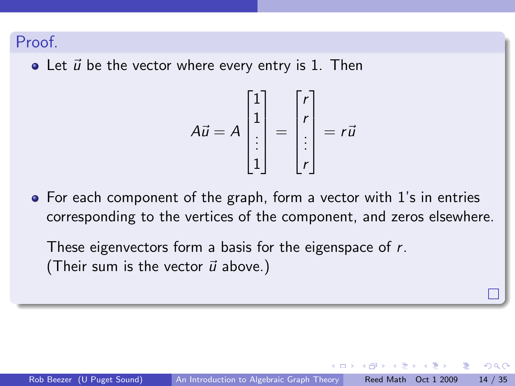#### Proof.

 $\bullet$  Let  $\vec{u}$  be the vector where every entry is 1. Then

$$
A\vec{u} = A \begin{bmatrix} 1 \\ 1 \\ \vdots \\ 1 \end{bmatrix} = \begin{bmatrix} r \\ r \\ \vdots \\ r \end{bmatrix} = r\vec{u}
$$

For each component of the graph, form a vector with 1's in entries corresponding to the vertices of the component, and zeros elsewhere.

These eigenvectors form a basis for the eigenspace of r. (Their sum is the vector  $\vec{u}$  above.)

つへへ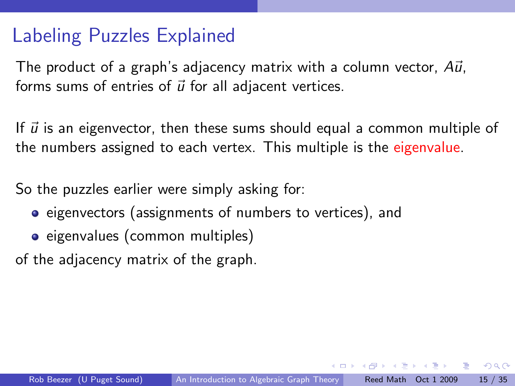### Labeling Puzzles Explained

The product of a graph's adjacency matrix with a column vector,  $A\vec{u}$ , forms sums of entries of  $\vec{u}$  for all adjacent vertices.

If  $\vec{u}$  is an eigenvector, then these sums should equal a common multiple of the numbers assigned to each vertex. This multiple is the eigenvalue.

So the puzzles earlier were simply asking for:

- **•** eigenvectors (assignments of numbers to vertices), and
- eigenvalues (common multiples)

of the adjacency matrix of the graph.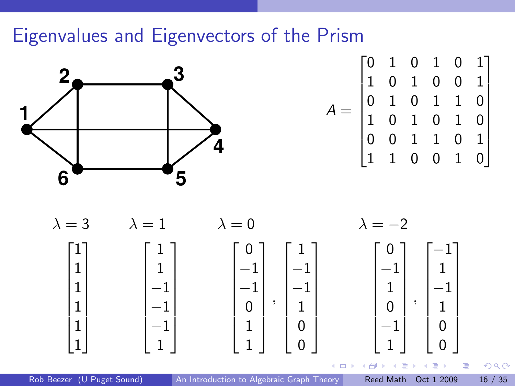### Eigenvalues and Eigenvectors of the Prism



$$
A = \begin{bmatrix} 0 & 1 & 0 & 1 & 0 & 1 \\ 1 & 0 & 1 & 0 & 0 & 1 \\ 0 & 1 & 0 & 1 & 1 & 0 \\ 1 & 0 & 1 & 0 & 1 & 0 \\ 0 & 0 & 1 & 1 & 0 & 1 \\ 1 & 1 & 0 & 0 & 1 & 0 \end{bmatrix}
$$



Rob Beezer (U Puget Sound) [An Introduction to Algebraic Graph Theory](#page-0-0) Reed Math Oct 1 2009 16 / 35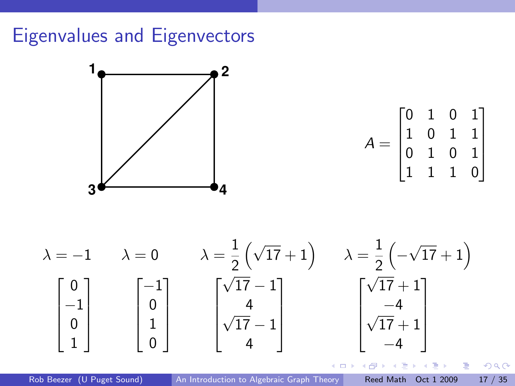## Eigenvalues and Eigenvectors



$$
A = \begin{bmatrix} 0 & 1 & 0 & 1 \\ 1 & 0 & 1 & 1 \\ 0 & 1 & 0 & 1 \\ 1 & 1 & 1 & 0 \end{bmatrix}
$$



Rob Beezer (U Puget Sound) [An Introduction to Algebraic Graph Theory](#page-0-0) Reed Math Oct 1 2009 17 / 35

医单位 医单位

∢ 母

 $\leftarrow$   $\Box$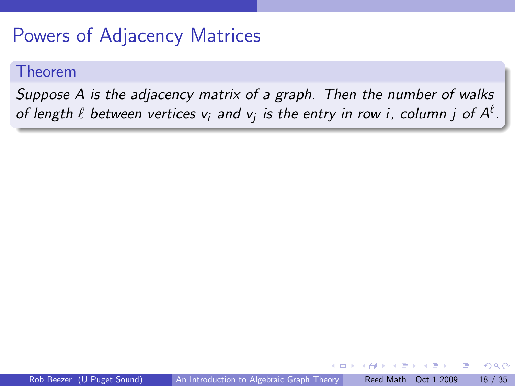### Powers of Adjacency Matrices

#### Theorem

Suppose A is the adjacency matrix of a graph. Then the number of walks of length  $\ell$  between vertices  $\mathsf{v}_i$  and  $\mathsf{v}_j$  is the entry in row i, column  $j$  of  $\mathsf{A}^\ell.$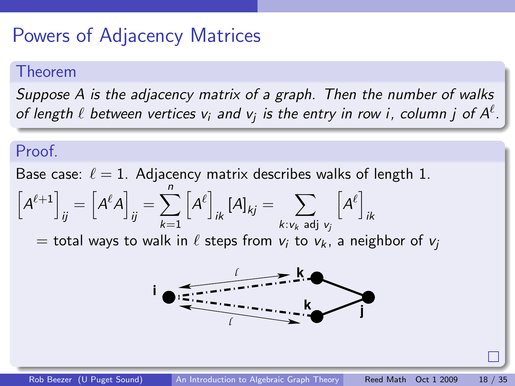### Powers of Adjacency Matrices

#### Theorem

Suppose A is the adjacency matrix of a graph. Then the number of walks of length  $\ell$  between vertices  $\mathsf{v}_i$  and  $\mathsf{v}_j$  is the entry in row i, column  $j$  of  $\mathsf{A}^\ell.$ 

#### Proof.

Base case:  $\ell = 1$ . Adjacency matrix describes walks of length 1.

$$
\left[A^{\ell+1}\right]_{ij}=\left[A^{\ell}A\right]_{ij}=\sum_{k=1}^{n}\left[A^{\ell}\right]_{ik}\left[A\right]_{kj}=\sum_{k:\nu_{k}\text{ adj }\nu_{j}}\left[A^{\ell}\right]_{ik}
$$

 $=$  total ways to walk in  $\ell$  steps from  $v_i$  to  $v_k$ , a neighbor of  $v_i$ 

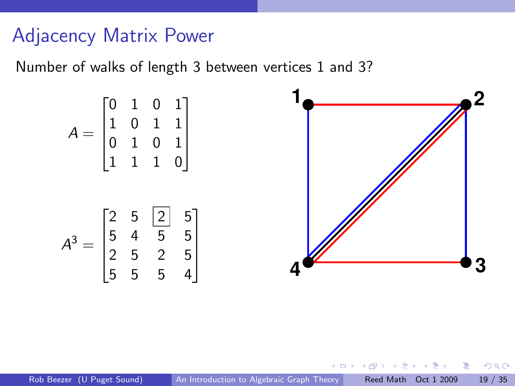### Adjacency Matrix Power

Number of walks of length 3 between vertices 1 and 3?



つひひ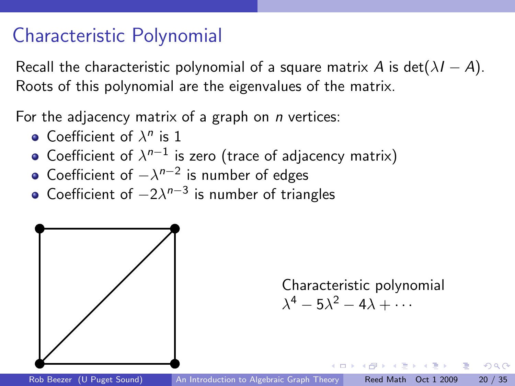### Characteristic Polynomial

Recall the characteristic polynomial of a square matrix A is det( $\lambda I - A$ ). Roots of this polynomial are the eigenvalues of the matrix.

For the adjacency matrix of a graph on  $n$  vertices:

- Coefficient of  $\lambda^n$  is 1
- Coefficient of  $\lambda^{n-1}$  is zero (trace of adjacency matrix)
- Coefficient of  $-\lambda^{n-2}$  is number of edges
- Coefficient of  $-2\lambda^{n-3}$  is number of triangles



Characteristic polynomial  $\lambda^4 - 5\lambda^2 - 4\lambda + \cdots$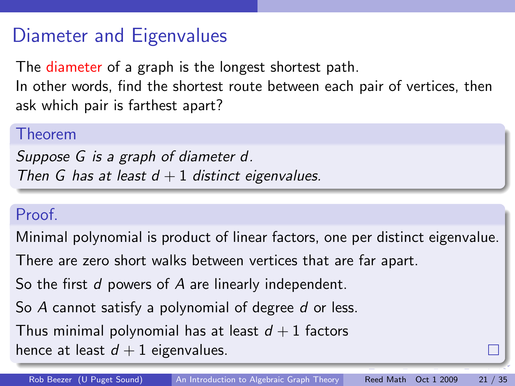### Diameter and Eigenvalues

The diameter of a graph is the longest shortest path.

In other words, find the shortest route between each pair of vertices, then ask which pair is farthest apart?

#### Theorem

Suppose G is a graph of diameter d. Then G has at least  $d + 1$  distinct eigenvalues.

#### Proof.

Minimal polynomial is product of linear factors, one per distinct eigenvalue.

There are zero short walks between vertices that are far apart.

So the first d powers of A are linearly independent.

So A cannot satisfy a polynomial of degree d or less.

Thus minimal polynomial has at least  $d + 1$  factors

<span id="page-25-0"></span>hence at least  $d + 1$  eigenvalues.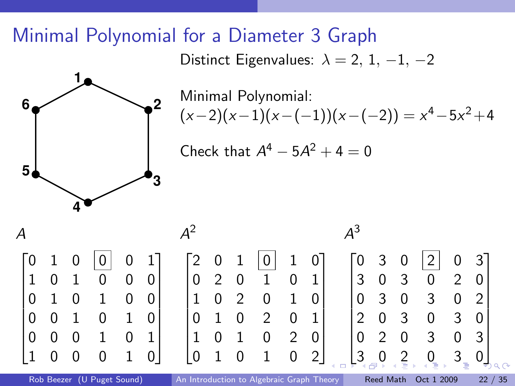### Minimal Polynomial for a Diameter 3 Graph

Distinct Eigenvalues:  $\lambda = 2, 1, -1, -2$ 



Minimal Polynomial:  $(x-2)(x-1)(x-(-1))(x-(-2)) = x<sup>4</sup> - 5x<sup>2</sup> + 4$ 

<span id="page-26-0"></span>Check that  $A^4 - 5A^2 + 4 = 0$ 

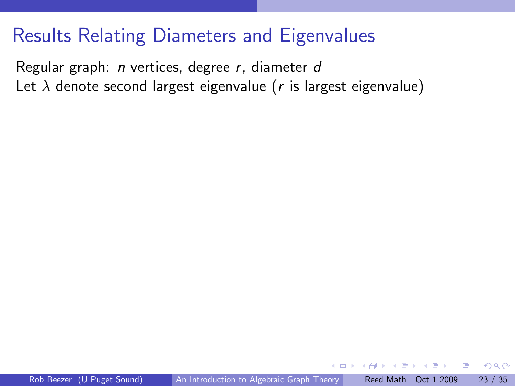### Results Relating Diameters and Eigenvalues

Regular graph: n vertices, degree r, diameter d Let  $\lambda$  denote second largest eigenvalue (r is largest eigenvalue)

<span id="page-27-0"></span> $QQ$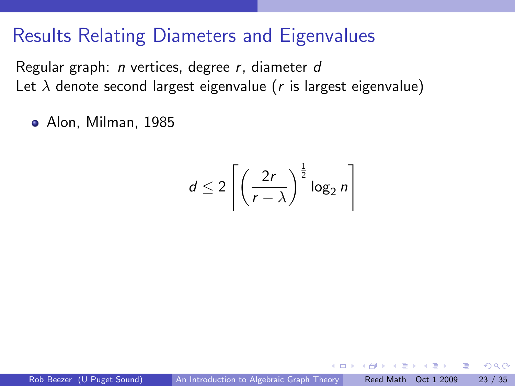### Results Relating Diameters and Eigenvalues

Regular graph: n vertices, degree r, diameter d Let  $\lambda$  denote second largest eigenvalue (r is largest eigenvalue)

Alon, Milman, 1985

$$
d \leq 2 \left[ \left( \frac{2r}{r - \lambda} \right)^{\frac{1}{2}} \log_2 n \right]
$$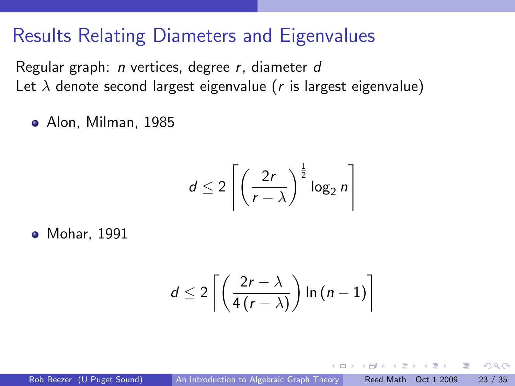### Results Relating Diameters and Eigenvalues

Regular graph: n vertices, degree r, diameter d Let  $\lambda$  denote second largest eigenvalue (r is largest eigenvalue)

Alon, Milman, 1985

$$
d \leq 2 \left[ \left( \frac{2r}{r - \lambda} \right)^{\frac{1}{2}} \log_2 n \right]
$$

**•** Mohar, 1991

$$
d \leq 2\left\lceil \left( \frac{2r-\lambda}{4\left(r-\lambda\right)} \right) \ln\left(n-1\right) \right\rceil
$$

 $QQ$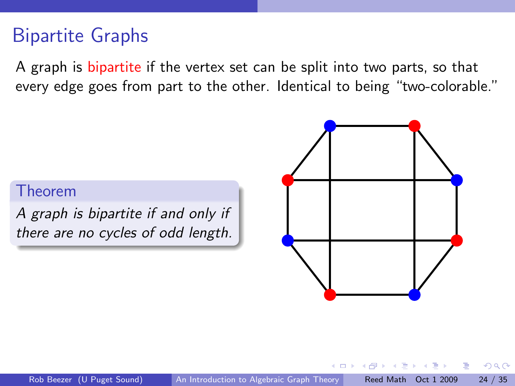### Bipartite Graphs

A graph is bipartite if the vertex set can be split into two parts, so that every edge goes from part to the other. Identical to being "two-colorable."

#### Theorem

A graph is bipartite if and only if there are no cycles of odd length.

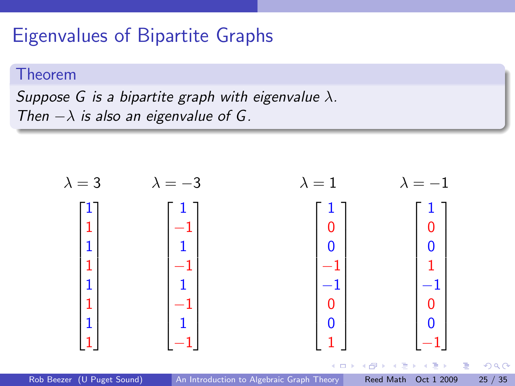### Eigenvalues of Bipartite Graphs

#### Theorem

Suppose G is a bipartite graph with eigenvalue  $\lambda$ . Then  $-\lambda$  is also an eigenvalue of G.

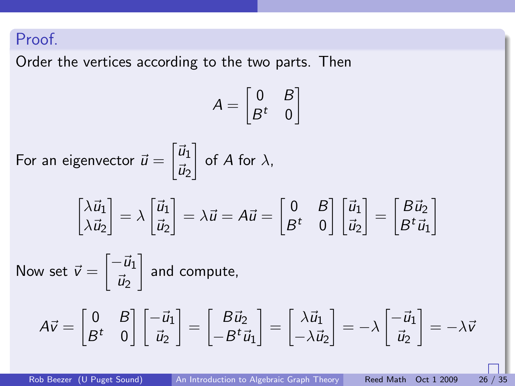#### Proof.

Order the vertices according to the two parts. Then

$$
A = \begin{bmatrix} 0 & B \\ B^t & 0 \end{bmatrix}
$$
  
For an eigenvector  $\vec{u} = \begin{bmatrix} \vec{u}_1 \\ \vec{u}_2 \end{bmatrix}$  of A for  $\lambda$ ,  

$$
\begin{bmatrix} \lambda \vec{u}_1 \\ \lambda \vec{u}_2 \end{bmatrix} = \lambda \begin{bmatrix} \vec{u}_1 \\ \vec{u}_2 \end{bmatrix} = \lambda \vec{u} = A\vec{u} = \begin{bmatrix} 0 & B \\ B^t & 0 \end{bmatrix} \begin{bmatrix} \vec{u}_1 \\ \vec{u}_2 \end{bmatrix} = \begin{bmatrix} B\vec{u}_2 \\ B^t \vec{u}_1 \end{bmatrix}
$$
  
Now set  $\vec{v} = \begin{bmatrix} -\vec{u}_1 \\ \vec{u}_2 \end{bmatrix}$  and compute,  

$$
A\vec{v} = \begin{bmatrix} 0 & B \\ B^t & 0 \end{bmatrix} \begin{bmatrix} -\vec{u}_1 \\ \vec{u}_2 \end{bmatrix} = \begin{bmatrix} B\vec{u}_2 \\ -B^t \vec{u}_1 \end{bmatrix} = \begin{bmatrix} \lambda \vec{u}_1 \\ -\lambda \vec{u}_2 \end{bmatrix} = -\lambda \begin{bmatrix} -\vec{u}_1 \\ \vec{u}_2 \end{bmatrix} = -\lambda \vec{v}
$$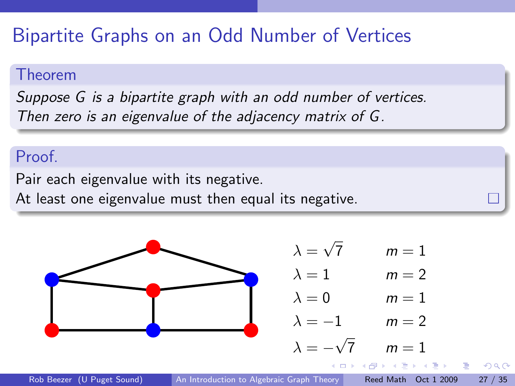## Bipartite Graphs on an Odd Number of Vertices

#### Theorem

Suppose G is a bipartite graph with an odd number of vertices. Then zero is an eigenvalue of the adjacency matrix of G.

#### Proof.

Pair each eigenvalue with its negative.

At least one eigenvalue must then equal its negative.

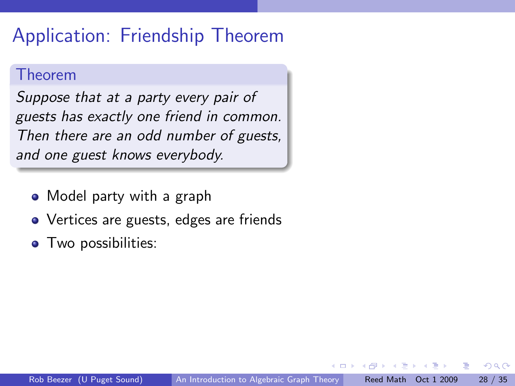### Application: Friendship Theorem

#### Theorem

Suppose that at a party every pair of guests has exactly one friend in common. Then there are an odd number of guests, and one guest knows everybody.

- Model party with a graph
- Vertices are guests, edges are friends
- Two possibilities: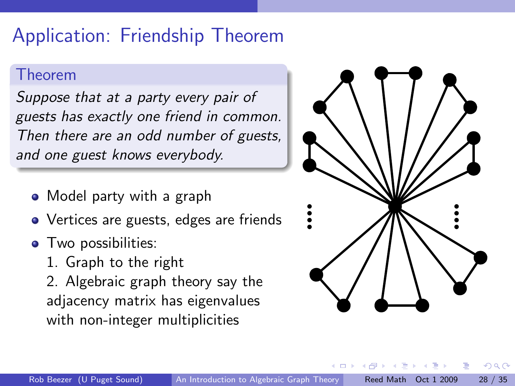## Application: Friendship Theorem

#### Theorem

Suppose that at a party every pair of guests has exactly one friend in common. Then there are an odd number of guests, and one guest knows everybody.

- Model party with a graph
- Vertices are guests, edges are friends
- Two possibilities:
	- 1. Graph to the right

2. Algebraic graph theory say the adjacency matrix has eigenvalues with non-integer multiplicities

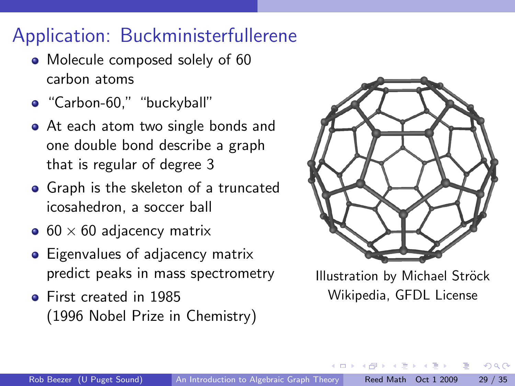# Application: Buckministerfullerene

- Molecule composed solely of 60 carbon atoms
- "Carbon-60," "buckyball"
- At each atom two single bonds and one double bond describe a graph that is regular of degree 3
- Graph is the skeleton of a truncated icosahedron, a soccer ball
- $\bullet$  60  $\times$  60 adjacency matrix
- Eigenvalues of adjacency matrix predict peaks in mass spectrometry
- First created in 1985 (1996 Nobel Prize in Chemistry)



Illustration by Michael Ströck Wikipedia, GFDL License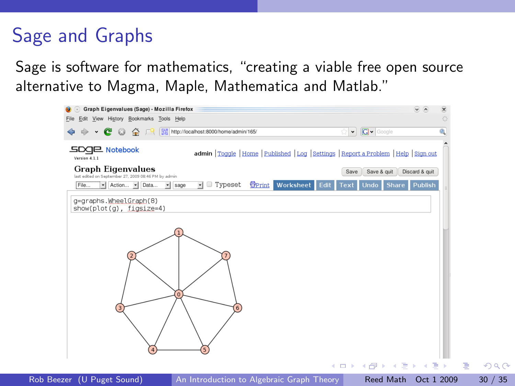# Sage and Graphs

Sage is software for mathematics, "creating a viable free open source alternative to Magma, Maple, Mathematica and Matlab."

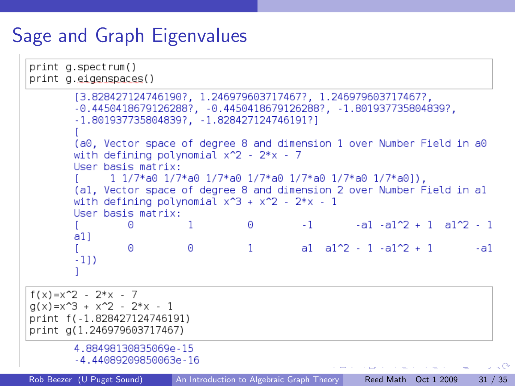# Sage and Graph Eigenvalues

```
print a.spectrum()
print a.eigenspaces()
       [3.828427124746190?. 1.246979603717467?. 1.246979603717467?.
       -0.4450418679126288? - 0.4450418679126288? - 1.801937735804839?-1.801937735804839?. -1.828427124746191?(a0. Vector space of degree 8 and dimension 1 over Number Field in a0
       with defining polynomial x^2 - 2*x - 7User basis matrix:
             1 1/7*a0 1/7*a0 1/7*a0 1/7*a0 1/7*a0 1/7*a0 1/7*a01).
       (al, Vector space of degree 8 and dimension 2 over Number Field in al
       with defining polynomial x^3 + x^2 - 2*x - 1Hser basis matrix:
                                              -1 -1 -1 -1 -1 -1 -1 -1\Omega\mathbf{1}\Thetaa11\Omega\Omega\mathbf{1}a1 a1\frac{1}{2} - 1 -a1\frac{1}{2} + 1 -a1
       -11)f(x)=x^2-2*x-7q(x)=x^3 + x^2 - 2*x - 1print f(-1.828427124746191)
print a(1.246979603717467)
       4.88498130835069e-15
       -4.44089209850063e - 16\mathcal{L} = \mathbb{Q}An Introduction to Algebraic Graph Theory Reed Math Oct 1 2009 31 / 35
```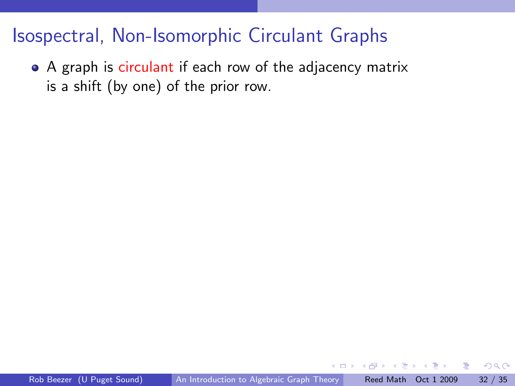### Isospectral, Non-Isomorphic Circulant Graphs

• A graph is circulant if each row of the adjacency matrix is a shift (by one) of the prior row.

 $QQ$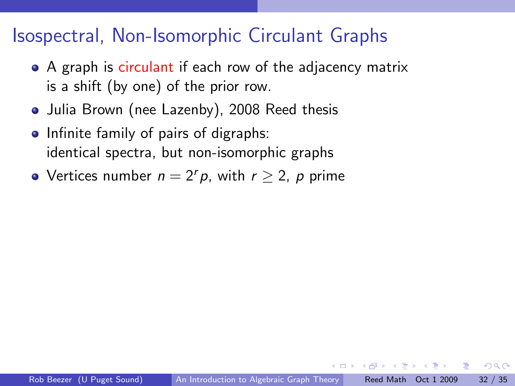### Isospectral, Non-Isomorphic Circulant Graphs

- A graph is circulant if each row of the adjacency matrix is a shift (by one) of the prior row.
- Julia Brown (nee Lazenby), 2008 Reed thesis
- Infinite family of pairs of digraphs: identical spectra, but non-isomorphic graphs
- Vertices number  $n = 2<sup>r</sup> p$ , with  $r > 2$ , p prime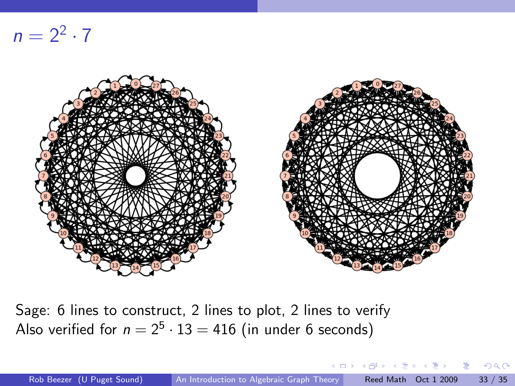$n = 2^2 \cdot 7$ 



Sage: 6 lines to construct, 2 lines to plot, 2 lines to verify Also verified for  $n = 2^5 \cdot 13 = 416$  (in under 6 seconds)

( □ ) ( <sub>□</sub> )

医毛囊 医牙骨下的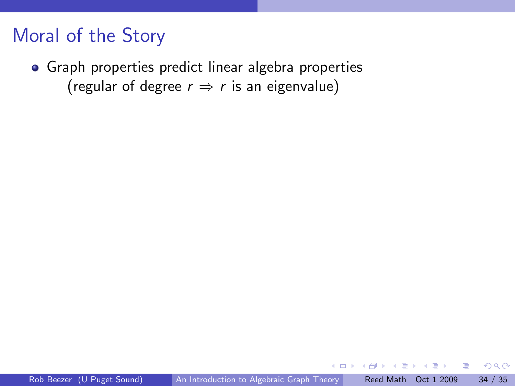### Moral of the Story

Graph properties predict linear algebra properties (regular of degree  $r \Rightarrow r$  is an eigenvalue)

4 D F

TE 16

÷

 $QQ$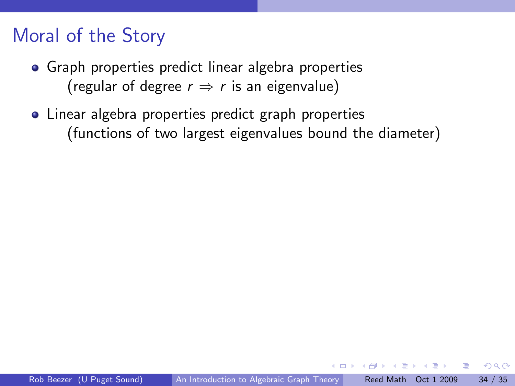## Moral of the Story

- **•** Graph properties predict linear algebra properties (regular of degree  $r \Rightarrow r$  is an eigenvalue)
- Linear algebra properties predict graph properties (functions of two largest eigenvalues bound the diameter)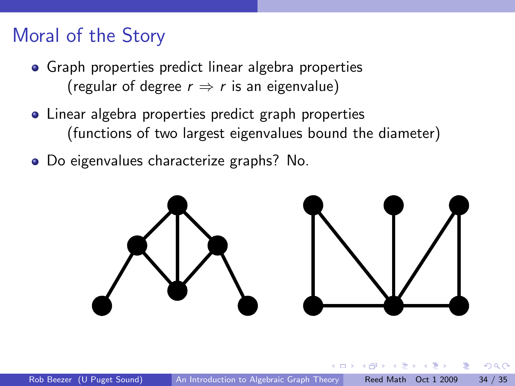### Moral of the Story

- **•** Graph properties predict linear algebra properties (regular of degree  $r \Rightarrow r$  is an eigenvalue)
- Linear algebra properties predict graph properties (functions of two largest eigenvalues bound the diameter)
- Do eigenvalues characterize graphs? No.

<span id="page-44-0"></span>